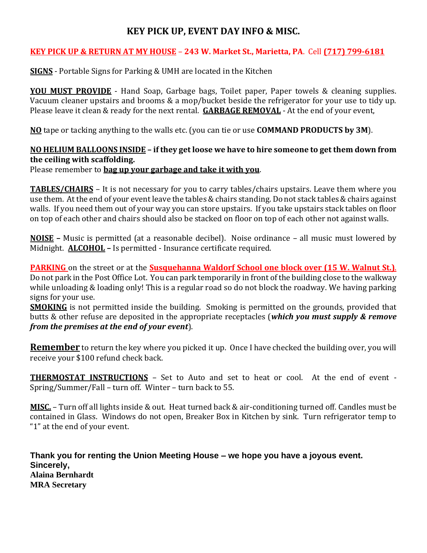# **KEY PICK UP, EVENT DAY INFO & MISC.**

## **KEY PICK UP & RETURN AT MY HOUSE** – **243 W. Market St., Marietta, PA**. Cell **(717) 799-6181**

**SIGNS** - Portable Signs for Parking & UMH are located in the Kitchen

**YOU MUST PROVIDE** - Hand Soap, Garbage bags, Toilet paper, Paper towels & cleaning supplies. Vacuum cleaner upstairs and brooms & a mop/bucket beside the refrigerator for your use to tidy up. Please leave it clean & ready for the next rental. **GARBAGE REMOVAL** - At the end of your event,

**NO** tape or tacking anything to the walls etc. (you can tie or use **COMMAND PRODUCTS by 3M**).

## **NO HELIUM BALLOONS INSIDE – if they get loose we have to hire someone to get them down from the ceiling with scaffolding.** Please remember to **bag up your garbage and take it with you**.

**TABLES/CHAIRS** – It is not necessary for you to carry tables/chairs upstairs. Leave them where you use them. At the end of your event leave the tables & chairs standing. Do not stack tables & chairs against walls. If you need them out of your way you can store upstairs. If you take upstairs stack tables on floor on top of each other and chairs should also be stacked on floor on top of each other not against walls.

**NOISE –** Music is permitted (at a reasonable decibel). Noise ordinance – all music must lowered by Midnight. **ALCOHOL –** Is permitted - Insurance certificate required.

**PARKING** on the street or at the **Susquehanna Waldorf School one block over (15 W. Walnut St.)**. Do not park in the Post Office Lot. You can park temporarily in front of the building close to the walkway while unloading & loading only! This is a regular road so do not block the roadway. We having parking signs for your use.

**SMOKING** is not permitted inside the building. Smoking is permitted on the grounds, provided that butts & other refuse are deposited in the appropriate receptacles (*which you must supply & remove from the premises at the end of your event*).

**Remember** to return the key where you picked it up. Once I have checked the building over, you will receive your \$100 refund check back.

**THERMOSTAT INSTRUCTIONS** – Set to Auto and set to heat or cool. At the end of event - Spring/Summer/Fall – turn off. Winter – turn back to 55.

**MISC.** – Turn off all lights inside & out. Heat turned back & air-conditioning turned off. Candles must be contained in Glass. Windows do not open, Breaker Box in Kitchen by sink. Turn refrigerator temp to "1" at the end of your event.

**Thank you for renting the Union Meeting House – we hope you have a joyous event. Sincerely, Alaina Bernhardt MRA Secretary**